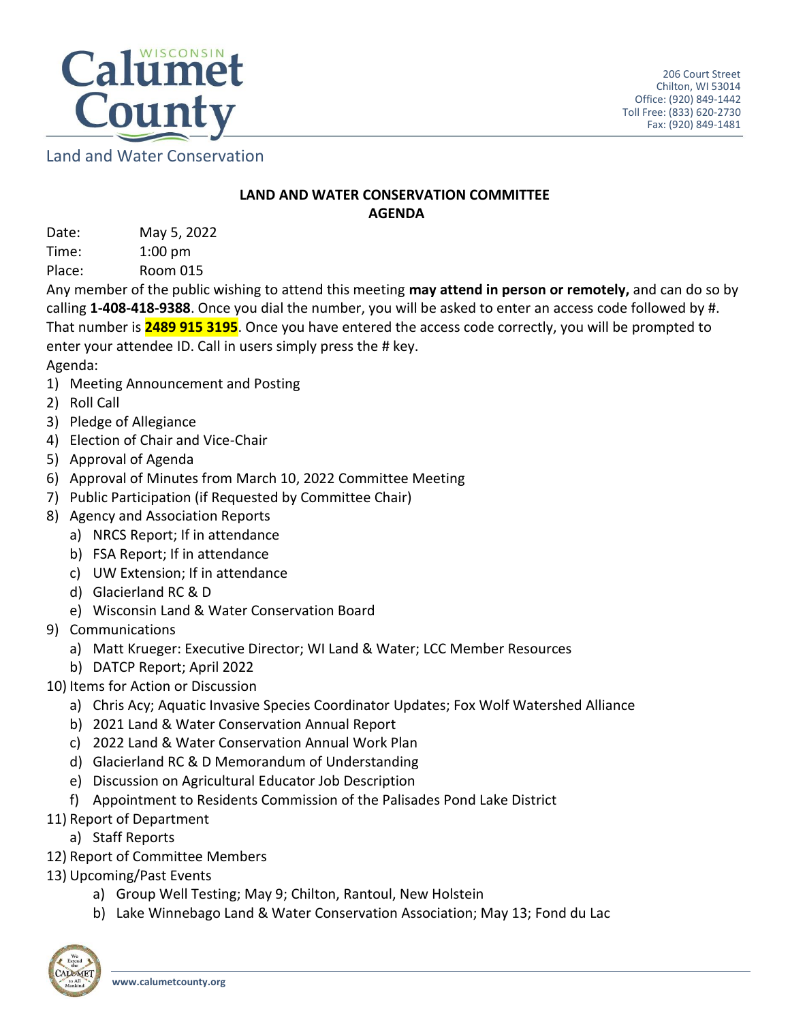

Land and Water Conservation

## **LAND AND WATER CONSERVATION COMMITTEE AGENDA**

Date: May 5, 2022 Time: 1:00 pm

Place: Room 015

Any member of the public wishing to attend this meeting **may attend in person or remotely,** and can do so by calling **1-408-418-9388**. Once you dial the number, you will be asked to enter an access code followed by #. That number is **2489 915 3195**. Once you have entered the access code correctly, you will be prompted to enter your attendee ID. Call in users simply press the # key.

- Agenda:
- 1) Meeting Announcement and Posting
- 2) Roll Call
- 3) Pledge of Allegiance
- 4) Election of Chair and Vice-Chair
- 5) Approval of Agenda
- 6) Approval of Minutes from March 10, 2022 Committee Meeting
- 7) Public Participation (if Requested by Committee Chair)
- 8) Agency and Association Reports
	- a) NRCS Report; If in attendance
	- b) FSA Report; If in attendance
	- c) UW Extension; If in attendance
	- d) Glacierland RC & D
	- e) Wisconsin Land & Water Conservation Board
- 9) Communications
	- a) Matt Krueger: Executive Director; WI Land & Water; LCC Member Resources
	- b) DATCP Report; April 2022
- 10) Items for Action or Discussion
	- a) Chris Acy; Aquatic Invasive Species Coordinator Updates; Fox Wolf Watershed Alliance
	- b) 2021 Land & Water Conservation Annual Report
	- c) 2022 Land & Water Conservation Annual Work Plan
	- d) Glacierland RC & D Memorandum of Understanding
	- e) Discussion on Agricultural Educator Job Description
	- f) Appointment to Residents Commission of the Palisades Pond Lake District
- 11) Report of Department
	- a) Staff Reports
- 12) Report of Committee Members
- 13) Upcoming/Past Events
	- a) Group Well Testing; May 9; Chilton, Rantoul, New Holstein
	- b) Lake Winnebago Land & Water Conservation Association; May 13; Fond du Lac